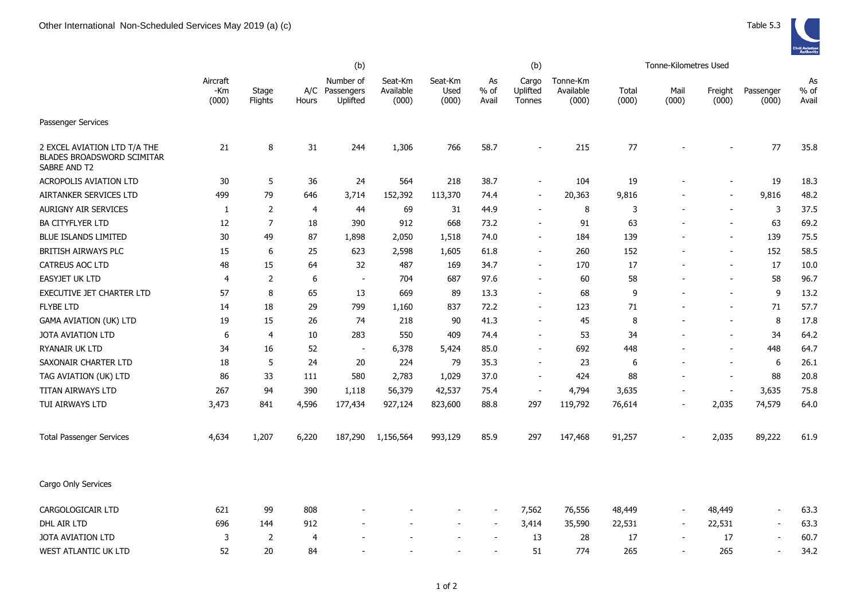|                                                                            |                          | (b)              |       |                                         |                               |                          |                          |                             |                                |                |                          |                          |                          |                       |
|----------------------------------------------------------------------------|--------------------------|------------------|-------|-----------------------------------------|-------------------------------|--------------------------|--------------------------|-----------------------------|--------------------------------|----------------|--------------------------|--------------------------|--------------------------|-----------------------|
|                                                                            | Aircraft<br>-Km<br>(000) | Stage<br>Flights | Hours | Number of<br>A/C Passengers<br>Uplifted | Seat-Km<br>Available<br>(000) | Seat-Km<br>Used<br>(000) | As<br>$%$ of<br>Avail    | Cargo<br>Uplifted<br>Tonnes | Tonne-Km<br>Available<br>(000) | Total<br>(000) | Mail<br>(000)            | Freight<br>(000)         | Passenger<br>(000)       | As<br>$%$ of<br>Avail |
| Passenger Services                                                         |                          |                  |       |                                         |                               |                          |                          |                             |                                |                |                          |                          |                          |                       |
| 2 EXCEL AVIATION LTD T/A THE<br>BLADES BROADSWORD SCIMITAR<br>SABRE AND T2 | 21                       | 8                | 31    | 244                                     | 1,306                         | 766                      | 58.7                     | $\overline{\phantom{a}}$    | 215                            | 77             |                          |                          | 77                       | 35.8                  |
| ACROPOLIS AVIATION LTD                                                     | 30                       | 5                | 36    | 24                                      | 564                           | 218                      | 38.7                     | $\blacksquare$              | 104                            | 19             |                          |                          | 19                       | 18.3                  |
| AIRTANKER SERVICES LTD                                                     | 499                      | 79               | 646   | 3,714                                   | 152,392                       | 113,370                  | 74.4                     | $\overline{\phantom{a}}$    | 20,363                         | 9,816          |                          |                          | 9,816                    | 48.2                  |
| <b>AURIGNY AIR SERVICES</b>                                                | 1                        | $\overline{2}$   | 4     | 44                                      | 69                            | 31                       | 44.9                     | $\sim$                      | 8                              | 3              |                          | $\sim$                   | 3                        | 37.5                  |
| <b>BA CITYFLYER LTD</b>                                                    | 12                       | $\overline{7}$   | 18    | 390                                     | 912                           | 668                      | 73.2                     | $\overline{\phantom{a}}$    | 91                             | 63             |                          | $\overline{\phantom{a}}$ | 63                       | 69.2                  |
| <b>BLUE ISLANDS LIMITED</b>                                                | 30                       | 49               | 87    | 1,898                                   | 2,050                         | 1,518                    | 74.0                     | $\overline{\phantom{a}}$    | 184                            | 139            |                          | $\overline{\phantom{a}}$ | 139                      | 75.5                  |
| BRITISH AIRWAYS PLC                                                        | 15                       | 6                | 25    | 623                                     | 2,598                         | 1,605                    | 61.8                     | $\sim$                      | 260                            | 152            |                          |                          | 152                      | 58.5                  |
| <b>CATREUS AOC LTD</b>                                                     | 48                       | 15               | 64    | 32                                      | 487                           | 169                      | 34.7                     | $\overline{a}$              | 170                            | 17             |                          | $\overline{\phantom{a}}$ | 17                       | 10.0                  |
| EASYJET UK LTD                                                             | $\overline{4}$           | 2                | 6     | $\overline{a}$                          | 704                           | 687                      | 97.6                     |                             | 60                             | 58             |                          |                          | 58                       | 96.7                  |
| EXECUTIVE JET CHARTER LTD                                                  | 57                       | 8                | 65    | 13                                      | 669                           | 89                       | 13.3                     | $\blacksquare$              | 68                             | 9              |                          | $\blacksquare$           | 9                        | 13.2                  |
| <b>FLYBE LTD</b>                                                           | 14                       | 18               | 29    | 799                                     | 1,160                         | 837                      | 72.2                     | $\blacksquare$              | 123                            | 71             |                          | $\overline{\phantom{a}}$ | 71                       | 57.7                  |
| <b>GAMA AVIATION (UK) LTD</b>                                              | 19                       | 15               | 26    | 74                                      | 218                           | 90                       | 41.3                     | $\blacksquare$              | 45                             | 8              |                          | $\overline{\phantom{a}}$ | 8                        | 17.8                  |
| <b>JOTA AVIATION LTD</b>                                                   | 6                        | 4                | 10    | 283                                     | 550                           | 409                      | 74.4                     | $\overline{\phantom{a}}$    | 53                             | 34             |                          | $\overline{\phantom{a}}$ | 34                       | 64.2                  |
| RYANAIR UK LTD                                                             | 34                       | 16               | 52    | $\sim$                                  | 6,378                         | 5,424                    | 85.0                     | $\blacksquare$              | 692                            | 448            |                          |                          | 448                      | 64.7                  |
| SAXONAIR CHARTER LTD                                                       | 18                       | 5                | 24    | 20                                      | 224                           | 79                       | 35.3                     | $\blacksquare$              | 23                             | 6              | $\overline{\phantom{a}}$ | $\overline{\phantom{a}}$ | 6                        | 26.1                  |
| TAG AVIATION (UK) LTD                                                      | 86                       | 33               | 111   | 580                                     | 2,783                         | 1,029                    | 37.0                     | $\overline{\phantom{a}}$    | 424                            | 88             | $\blacksquare$           | $\overline{\phantom{a}}$ | 88                       | 20.8                  |
| TITAN AIRWAYS LTD                                                          | 267                      | 94               | 390   | 1,118                                   | 56,379                        | 42,537                   | 75.4                     | $\overline{\phantom{a}}$    | 4,794                          | 3,635          | $\blacksquare$           | $\blacksquare$           | 3,635                    | 75.8                  |
| TUI AIRWAYS LTD                                                            | 3,473                    | 841              | 4,596 | 177,434                                 | 927,124                       | 823,600                  | 88.8                     | 297                         | 119,792                        | 76,614         | $\overline{\phantom{a}}$ | 2,035                    | 74,579                   | 64.0                  |
| <b>Total Passenger Services</b>                                            | 4,634                    | 1,207            | 6,220 | 187,290                                 | 1,156,564                     | 993,129                  | 85.9                     | 297                         | 147,468                        | 91,257         |                          | 2,035                    | 89,222                   | 61.9                  |
| Cargo Only Services                                                        |                          |                  |       |                                         |                               |                          |                          |                             |                                |                |                          |                          |                          |                       |
| CARGOLOGICAIR LTD                                                          | 621                      | 99               | 808   |                                         |                               |                          |                          | 7,562                       | 76,556                         | 48,449         | $\blacksquare$           | 48,449                   | $\sim$                   | 63.3                  |
| DHL AIR LTD                                                                | 696                      | 144              | 912   |                                         |                               | $\overline{\phantom{a}}$ | $\overline{\phantom{a}}$ | 3,414                       | 35,590                         | 22,531         | $\overline{\phantom{a}}$ | 22,531                   | $\overline{\phantom{a}}$ | 63.3                  |
| <b>JOTA AVIATION LTD</b>                                                   | 3                        | 2                | 4     |                                         |                               | $\overline{a}$           | $\blacksquare$           | 13                          | 28                             | 17             | $\overline{\phantom{a}}$ | 17                       | $\overline{\phantom{a}}$ | 60.7                  |
| <b>WEST ATLANTIC UK LTD</b>                                                | 52                       | 20               | 84    |                                         |                               |                          | $\blacksquare$           | 51                          | 774                            | 265            | $\blacksquare$           | 265                      |                          | 34.2                  |